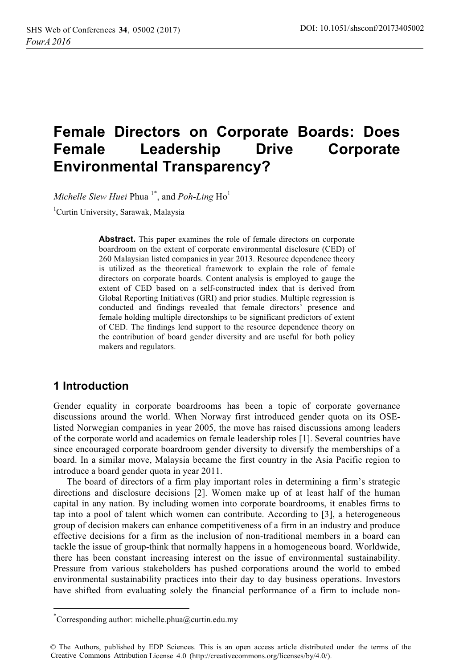#### **Female Directors on Corporate Boards: Does Female** emale Leadership Dr ive Corporate **Environmental Transparency?**

*Michelle Siew Huei* Phua 1\*, and *Poh-Ling* Ho 1

1 Curtin University, Sarawak, Malaysia

Abstract. This paper examines the role of female directors on corporate boardroom on the extent of corporate environmental disclosure (CED) of 260 Malaysian listed companies in year 2013. Resource dependence theory is utilized as the theoretical framework to explain the role of female directors on corporate boards. Content analysis is employed to gauge the extent of CED based on a self-constructed index that is derived from Global Reporting Initiatives (GRI) and prior studies. Multiple regression is conducted and findings revealed that female directors' presence and female holding multiple directorships to be significant predictors of extent of CED. The findings lend support to the resource dependence theory on the contribution of board gender diversity and are useful for both policy makers and regulators.

## **1** Introduction

 $\overline{a}$ 

Gender equality in corporate boardrooms has been a topic of corporate governance discussions around the world. When Norway first introduced gender quota on its OSElisted Norwegian companies in year 2005, the move has raised discussions among leaders of the corporate world and academics on female leadership roles [1]. Several countries have since encouraged corporate boardroom gender diversity to diversify the memberships of a board. In a similar move, Malaysia became the first country in the Asia Pacific region to introduce a board gender quota in year 2011.

The board of directors of a firm play important roles in determining a firm's strategic directions and disclosure decisions [2]. Women make up of at least half of the human capital in any nation. By including women into corporate boardrooms, it enables firms to tap into a pool of talent which women can contribute. According to [3], a heterogeneous group of decision makers can enhance competitiveness of a firm in an industry and produce effective decisions for a firm as the inclusion of non-traditional members in a board can tackle the issue of group-think that normally happens in a homogeneous board. Worldwide, there has been constant increasing interest on the issue of environmental sustainability. Pressure from various stakeholders has pushed corporations around the world to embed environmental sustainability practices into their day to day business operations. Investors have shifted from evaluating solely the financial performance of a firm to include non-

<sup>\*</sup> Corresponding author: michelle.phua@curtin.edu.my

<sup>©</sup> The Authors, published by EDP Sciences. This is an open access article distributed under the terms of the Creative Commons Attribution License 4.0 (http://creativecommons.org/licenses/by/4.0/).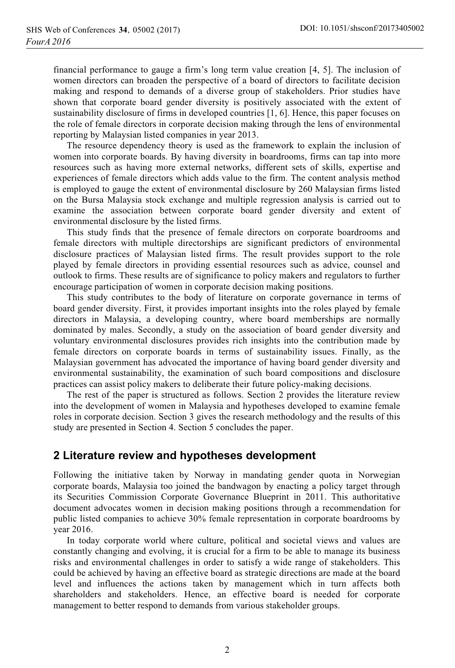financial performance to gauge a firm's long term value creation [4, 5]. The inclusion of women directors can broaden the perspective of a board of directors to facilitate decision making and respond to demands of a diverse group of stakeholders. Prior studies have shown that corporate board gender diversity is positively associated with the extent of sustainability disclosure of firms in developed countries [1, 6]. Hence, this paper focuses on the role of female directors in corporate decision making through the lens of environmental reporting by Malaysian listed companies in year 2013.

The resource dependency theory is used as the framework to explain the inclusion of women into corporate boards. By having diversity in boardrooms, firms can tap into more resources such as having more external networks, different sets of skills, expertise and experiences of female directors which adds value to the firm. The content analysis method is employed to gauge the extent of environmental disclosure by 260 Malaysian firms listed on the Bursa Malaysia stock exchange and multiple regression analysis is carried out to examine the association between corporate board gender diversity and extent of environmental disclosure by the listed firms.

This study finds that the presence of female directors on corporate boardrooms and female directors with multiple directorships are significant predictors of environmental disclosure practices of Malaysian listed firms. The result provides support to the role played by female directors in providing essential resources such as advice, counsel and outlook to firms. These results are of significance to policy makers and regulators to further encourage participation of women in corporate decision making positions.

This study contributes to the body of literature on corporate governance in terms of board gender diversity. First, it provides important insights into the roles played by female directors in Malaysia, a developing country, where board memberships are normally dominated by males. Secondly, a study on the association of board gender diversity and voluntary environmental disclosures provides rich insights into the contribution made by female directors on corporate boards in terms of sustainability issues. Finally, as the Malaysian government has advocated the importance of having board gender diversity and environmental sustainability, the examination of such board compositions and disclosure practices can assist policy makers to deliberate their future policy-making decisions.

The rest of the paper is structured as follows. Section 2 provides the literature review into the development of women in Malaysia and hypotheses developed to examine female roles in corporate decision. Section 3 gives the research methodology and the results of this study are presented in Section 4. Section 5 concludes the paper.

# 2 Literature review and hypotheses development

Following the initiative taken by Norway in mandating gender quota in Norwegian corporate boards, Malaysia too joined the bandwagon by enacting a policy target through its Securities Commission Corporate Governance Blueprint in 2011. This authoritative document advocates women in decision making positions through a recommendation for public listed companies to achieve 30% female representation in corporate boardrooms by year 2016.

In today corporate world where culture, political and societal views and values are constantly changing and evolving, it is crucial for a firm to be able to manage its business risks and environmental challenges in order to satisfy a wide range of stakeholders. This could be achieved by having an effective board as strategic directions are made at the board level and influences the actions taken by management which in turn affects both shareholders and stakeholders. Hence, an effective board is needed for corporate management to better respond to demands from various stakeholder groups.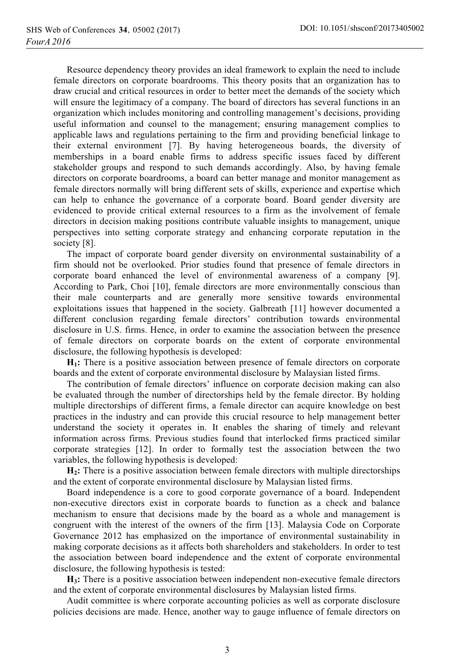Resource dependency theory provides an ideal framework to explain the need to include female directors on corporate boardrooms. This theory posits that an organization has to draw crucial and critical resources in order to better meet the demands of the society which will ensure the legitimacy of a company. The board of directors has several functions in an organization which includes monitoring and controlling management's decisions, providing useful information and counsel to the management; ensuring management complies to applicable laws and regulations pertaining to the firm and providing beneficial linkage to their external environment [7]. By having heterogeneous boards, the diversity of memberships in a board enable firms to address specific issues faced by different stakeholder groups and respond to such demands accordingly. Also, by having female directors on corporate boardrooms, a board can better manage and monitor management as female directors normally will bring different sets of skills, experience and expertise which can help to enhance the governance of a corporate board. Board gender diversity are evidenced to provide critical external resources to a firm as the involvement of female directors in decision making positions contribute valuable insights to management, unique perspectives into setting corporate strategy and enhancing corporate reputation in the society [8].

The impact of corporate board gender diversity on environmental sustainability of a firm should not be overlooked. Prior studies found that presence of female directors in corporate board enhanced the level of environmental awareness of a company [9]. According to Park, Choi [10], female directors are more environmentally conscious than their male counterparts and are generally more sensitive towards environmental exploitations issues that happened in the society. Galbreath [11] however documented a different conclusion regarding female directors' contribution towards environmental disclosure in U.S. firms. Hence, in order to examine the association between the presence of female directors on corporate boards on the extent of corporate environmental disclosure, the following hypothesis is developed:

**H1:** There is a positive association between presence of female directors on corporate boards and the extent of corporate environmental disclosure by Malaysian listed firms.

The contribution of female directors' influence on corporate decision making can also be evaluated through the number of directorships held by the female director. By holding multiple directorships of different firms, a female director can acquire knowledge on best practices in the industry and can provide this crucial resource to help management better understand the society it operates in. It enables the sharing of timely and relevant information across firms. Previous studies found that interlocked firms practiced similar corporate strategies [12]. In order to formally test the association between the two variables, the following hypothesis is developed:

**H2:** There is a positive association between female directors with multiple directorships and the extent of corporate environmental disclosure by Malaysian listed firms.

Board independence is a core to good corporate governance of a board. Independent non-executive directors exist in corporate boards to function as a check and balance mechanism to ensure that decisions made by the board as a whole and management is congruent with the interest of the owners of the firm [13]. Malaysia Code on Corporate Governance 2012 has emphasized on the importance of environmental sustainability in making corporate decisions as it affects both shareholders and stakeholders. In order to test the association between board independence and the extent of corporate environmental disclosure, the following hypothesis is tested:

**H3:** There is a positive association between independent non-executive female directors and the extent of corporate environmental disclosures by Malaysian listed firms.

Audit committee is where corporate accounting policies as well as corporate disclosure policies decisions are made. Hence, another way to gauge influence of female directors on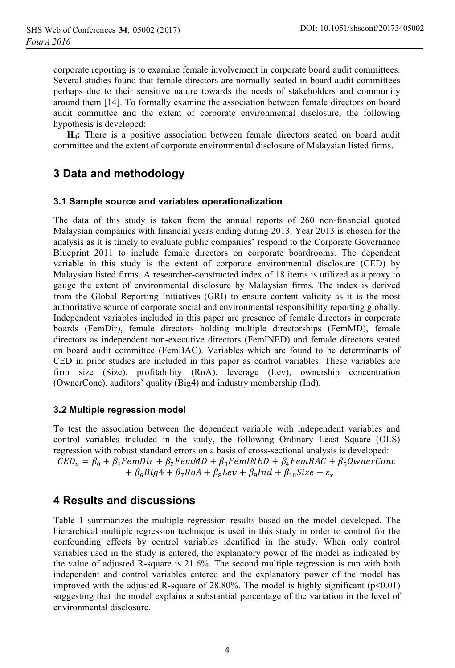corporate reporting is to examine female involvement in corporate board audit committees. Several studies found that female directors are normally seated in board audit committees perhaps due to their sensitive nature towards the needs of stakeholders and community around them [14]. To formally examine the association between female directors on board audit committee and the extent of corporate environmental disclosure, the following hypothesis is developed:

**H4:** There is a positive association between female directors seated on board audit committee and the extent of corporate environmental disclosure of Malaysian listed firms.

## **3 Data and methodology**

#### 3.1 Sample source and variables operationalization

The data of this study is taken from the annual reports of 260 non-financial quoted Malaysian companies with financial years ending during 2013. Year 2013 is chosen for the analysis as it is timely to evaluate public companies' respond to the Corporate Governance Blueprint 2011 to include female directors on corporate boardrooms. The dependent variable in this study is the extent of corporate environmental disclosure (CED) by Malaysian listed firms. A researcher-constructed index of 18 items is utilized as a proxy to gauge the extent of environmental disclosure by Malaysian firms. The index is derived from the Global Reporting Initiatives (GRI) to ensure content validity as it is the most authoritative source of corporate social and environmental responsibility reporting globally. Independent variables included in this paper are presence of female directors in corporate boards (FemDir), female directors holding multiple directorships (FemMD), female directors as independent non-executive directors (FemINED) and female directors seated on board audit committee (FemBAC). Variables which are found to be determinants of CED in prior studies are included in this paper as control variables. These variables are firm size (Size), profitability (RoA), leverage (Lev), ownership concentration (OwnerConc), auditors' quality (Big4) and industry membership (Ind).

#### **3.2 Multiple rearession model**

To test the association between the dependent variable with independent variables and control variables included in the study, the following Ordinary Least Square (OLS) regression with robust standard errors on a basis of cross-sectional analysis is developed:  $\overline{CED_x} = \beta_0 + \beta_1 FemDir + \beta_2 FemMD + \beta_3 FemINED + \beta_4 FemBAC + \beta_5 OwnerConc$  $+\beta_6 Big4 + \beta_7 RoA + \beta_8 Lev + \beta_9 Ind + \beta_{10} Size + \varepsilon_x$ 

## **4 Results and discussions**

Table 1 summarizes the multiple regression results based on the model developed. The hierarchical multiple regression technique is used in this study in order to control for the confounding effects by control variables identified in the study. When only control variables used in the study is entered, the explanatory power of the model as indicated by the value of adjusted R-square is 21.6%. The second multiple regression is run with both independent and control variables entered and the explanatory power of the model has improved with the adjusted R-square of 28.80%. The model is highly significant ( $p<0.01$ ) suggesting that the model explains a substantial percentage of the variation in the level of environmental disclosure.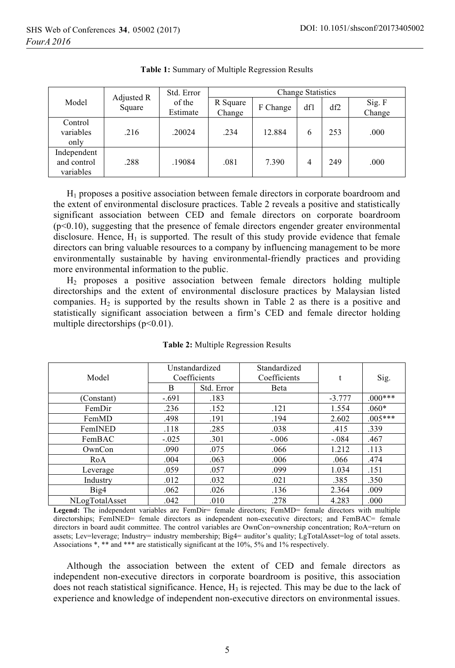| Model                                   | Adjusted R<br>Square | Std. Error<br>of the<br>Estimate | <b>Change Statistics</b> |          |     |     |                  |
|-----------------------------------------|----------------------|----------------------------------|--------------------------|----------|-----|-----|------------------|
|                                         |                      |                                  | R Square<br>Change       | F Change | df1 | df2 | Sig. F<br>Change |
| Control<br>variables<br>only            | .216                 | .20024                           | .234                     | 12.884   | 6   | 253 | .000             |
| Independent<br>and control<br>variables | .288                 | .19084                           | .081                     | 7.390    | 4   | 249 | .000             |

**Table 1:** Summary of Multiple Regression Results

H1 proposes a positive association between female directors in corporate boardroom and the extent of environmental disclosure practices. Table 2 reveals a positive and statistically significant association between CED and female directors on corporate boardroom (p<0.10), suggesting that the presence of female directors engender greater environmental disclosure. Hence,  $H_1$  is supported. The result of this study provide evidence that female directors can bring valuable resources to a company by influencing management to be more environmentally sustainable by having environmental-friendly practices and providing more environmental information to the public.

H2 proposes a positive association between female directors holding multiple directorships and the extent of environmental disclosure practices by Malaysian listed companies.  $H_2$  is supported by the results shown in Table 2 as there is a positive and statistically significant association between a firm's CED and female director holding multiple directorships  $(p<0.01)$ .

|                | Unstandardized |            | Standardized |          | Sig.      |
|----------------|----------------|------------|--------------|----------|-----------|
| Model          | Coefficients   |            | Coefficients | t        |           |
|                | В              | Std. Error | Beta         |          |           |
| (Constant)     | $-.691$        | .183       |              | $-3.777$ | $.000***$ |
| FemDir         | .236           | .152       | .121         | 1.554    | $.060*$   |
| FemMD          | .498           | .191       | .194         | 2.602    | $.005***$ |
| FemINED        | .118           | .285       | .038         | .415     | .339      |
| FemBAC         | $-.025$        | .301       | $-.006$      | $-.084$  | .467      |
| OwnCon         | .090           | .075       | .066         | 1.212    | .113      |
| RoA            | .004           | .063       | .006         | .066     | .474      |
| Leverage       | .059           | .057       | .099         | 1.034    | .151      |
| Industry       | .012           | .032       | .021         | .385     | .350      |
| Big4           | .062           | .026       | .136         | 2.364    | .009      |
| NLogTotalAsset | .042           | .010       | .278         | 4.283    | .000      |

**Table 2:** Multiple Regression Results

Legend: The independent variables are FemDir= female directors; FemMD= female directors with multiple directorships; FemINED= female directors as independent non-executive directors; and FemBAC= female directors in board audit committee. The control variables are OwnCon=ownership concentration; RoA=return on assets; Lev=leverage; Industry= industry membership; Big4= auditor's quality; LgTotalAsset=log of total assets. Associations \*, \*\* and \*\*\* are statistically significant at the 10%, 5% and 1% respectively.

Although the association between the extent of CED and female directors as independent non-executive directors in corporate boardroom is positive, this association does not reach statistical significance. Hence,  $H_3$  is rejected. This may be due to the lack of experience and knowledge of independent non-executive directors on environmental issues.